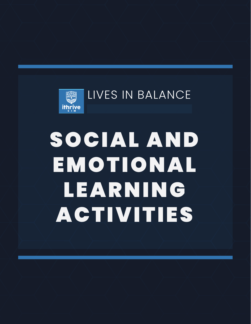

# SOCIAL AND EMOTIONAL LEARNING ACTIVITIES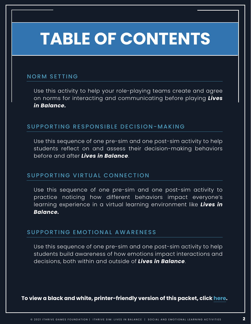## **TABLE OF CONTENTS**

## NORM SETTING

[Use this activity to help your role-playing teams create and agree](#page-2-0)  on norms for interacting and communicating before playing *Lives in Balance.*

## SUPPORTING RESPONSIBLE DECISION-MAKING

Use this sequence of one pre-sim and one post-sim activity to help [students reflect on and assess their decision-making behaviors](#page-3-0)  before and after *Lives in Balance*.

## SUPPORTING VIRTUAL CONNECTION

Use this sequence of one pre-sim and one post-sim activity to [practice noticing how different behaviors impact everyone's](#page-7-0)  learning experience in a virtual learning environment like *Lives in Balance.*

## SUPPORTING EMOTIONAL AWARENESS

[Use this sequence of one pre-sim and one post-sim activity to help](#page-9-0)  students build awareness of how emotions impact interactions and decisions, both within and outside of *Lives in Balance*.

**To view a black and white, printer-friendly version of this packet, clic[k here.](https://ithrivegames.org/wp-content/uploads/2021/03/LIB-SEL-Activities-PF.pdf)**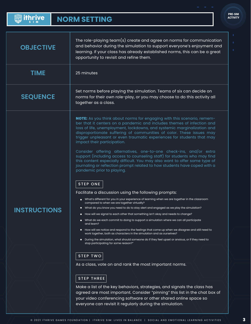<span id="page-2-0"></span>

| <b>Solut thrive</b> | <b>NORM SETTING</b> |
|---------------------|---------------------|
|---------------------|---------------------|

PRE-SIM ACTIVITY

| <b>OBJECTIVE</b>    | The role-playing team(s) create and agree on norms for communication<br>and behavior during the simulation to support everyone's enjoyment and<br>learning. If your class has already established norms, this can be a great<br>opportunity to revisit and refine them.                                                                                                                                                                                                                                                                                                                                                                                                                                                                                                                                                                                                                                                                                                                                                                                                                                                                                                          |  |
|---------------------|----------------------------------------------------------------------------------------------------------------------------------------------------------------------------------------------------------------------------------------------------------------------------------------------------------------------------------------------------------------------------------------------------------------------------------------------------------------------------------------------------------------------------------------------------------------------------------------------------------------------------------------------------------------------------------------------------------------------------------------------------------------------------------------------------------------------------------------------------------------------------------------------------------------------------------------------------------------------------------------------------------------------------------------------------------------------------------------------------------------------------------------------------------------------------------|--|
| <b>TIME</b>         | 25 minutes                                                                                                                                                                                                                                                                                                                                                                                                                                                                                                                                                                                                                                                                                                                                                                                                                                                                                                                                                                                                                                                                                                                                                                       |  |
| <b>SEQUENCE</b>     | Set norms before playing the simulation. Teams of six can decide on<br>norms for their own role-play, or you may choose to do this activity all<br>together as a class.                                                                                                                                                                                                                                                                                                                                                                                                                                                                                                                                                                                                                                                                                                                                                                                                                                                                                                                                                                                                          |  |
| <b>INSTRUCTIONS</b> | <b>NOTE:</b> As you think about norms for engaging with this scenario, remem-<br>ber that it centers on a pandemic and includes themes of infection and<br>loss of life, unemployment, lockdowns, and systemic marginalization and<br>disproportionate suffering of communities of color. These issues may<br>trigger unpleasant or even traumatic experiences for students that may<br>impact their participation.<br>Consider offering alternatives, one-to-one check-ins, and/or extra<br>support (including access to counseling staff) for students who may find<br>this content especially difficult. You may also want to offer some type of<br>journaling or reflection prompt related to how students have coped with a<br>pandemic prior to playing.<br><b>STEP ONE</b><br>Faclitate a discussion using the following prompts:<br>What's different for you in your experience of learning when we are together in the classroom<br>compared to when we are together virtually?<br>What do you know you need to do to stay alert and engaged as we play the simulation?<br>How will we signal to each other that something isn't okay and needs to change?<br>$\bullet$ |  |
|                     | What do we each commit to doing to support a simulation where we can all participate<br>$\bullet$<br>and learn?<br>How will we notice and respond to the feelings that come up when we disagree and still need to<br>work together, both as characters in the simulation and as ourselves?<br>During the simulation, what should someone do if they feel upset or anxious, or if they need to<br>stop participating for some reason?"<br><b>STEP TWO</b><br>As a class, vote on and rank the most important norms.<br><b>STEP THREE</b>                                                                                                                                                                                                                                                                                                                                                                                                                                                                                                                                                                                                                                          |  |
|                     | Make a list of the key behaviors, strategies, and signals the class has<br>agreed are most important. Consider "pinning" this list in the chat box of<br>your video conferencing software or other shared online space so<br>everyone can revisit it regularly during the simulation.                                                                                                                                                                                                                                                                                                                                                                                                                                                                                                                                                                                                                                                                                                                                                                                                                                                                                            |  |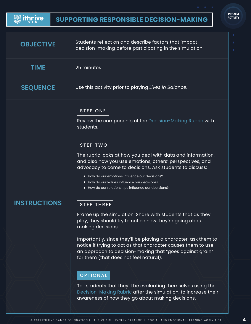### <span id="page-3-0"></span>**Solithrive SUPPORTING RESPONSIBLE DECISION-MAKING**

| <b>PRE-SIM</b>  |
|-----------------|
| <b>ACTIVITY</b> |

| <b>OBJECTIVE</b>    | Students reflect on and describe factors that impact<br>decision-making before participating in the simulation.                                                                                                                                                                                                                                                                   |
|---------------------|-----------------------------------------------------------------------------------------------------------------------------------------------------------------------------------------------------------------------------------------------------------------------------------------------------------------------------------------------------------------------------------|
| <b>TIME</b>         | 25 minutes                                                                                                                                                                                                                                                                                                                                                                        |
| <b>SEQUENCE</b>     | Use this activity prior to playing Lives in Balance.                                                                                                                                                                                                                                                                                                                              |
|                     | <b>STEP ONE</b><br>Review the components of the Decision-Making Rubric with<br>students.<br><b>STEP TWO</b><br>The rubric looks at how you deal with data and information,<br>and also how you use emotions, others' perspectives, and<br>advocacy to come to decisions. Ask students to discuss:                                                                                 |
| <b>INSTRUCTIONS</b> | • How do our emotions influence our decisions?<br>• How do our values influence our decisions?<br>• How do our relationships influence our decisions?<br><b>STEP THREE</b>                                                                                                                                                                                                        |
|                     | Frame up the simulation. Share with students that as they<br>play, they should try to notice how they're going about<br>making decisions.<br>Importantly, since they'll be playing a character, ask them to<br>notice if trying to act as that character causes them to use<br>an approach to decision-making that "goes against grain"<br>for them (that does not feel natural). |
|                     | <b>OPTIONAL</b><br>Tell students that they'll be evaluating themselves using the<br>Decision-Making Rubric after the simulation, to increase their<br>awareness of how they go about making decisions.                                                                                                                                                                            |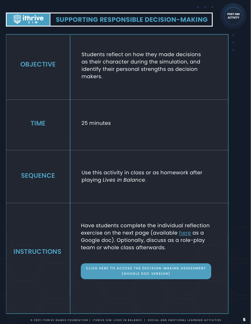**Solut thrive** 

| <b>OBJECTIVE</b>    | Students reflect on how they made decisions<br>as their character during the simulation, and<br>identify their personal strengths as decision<br>makers.                                                                                                                       |
|---------------------|--------------------------------------------------------------------------------------------------------------------------------------------------------------------------------------------------------------------------------------------------------------------------------|
| <b>TIME</b>         | 25 minutes                                                                                                                                                                                                                                                                     |
| <b>SEQUENCE</b>     | Use this activity in class or as homework after<br>playing Lives in Balance.                                                                                                                                                                                                   |
| <b>INSTRUCTIONS</b> | Have students complete the individual reflection<br>exercise on the next page (available <u>here</u> as a<br>Google doc). Optionally, discuss as a role-play<br>team or whole class afterwards.<br>CLICK HERE TO ACCESS THE DECISION-MAKING ASSESSMENT<br>(GOOGLE DOC VERSION) |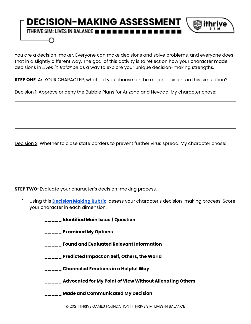## **DECISION-MAKING ASSESSMEN** 躑 ithı ITHRIVE SIM: LIVES IN BALANCE **the time in 1**

You are a decision-maker. Everyone can make decisions and solve problems, and everyone does that in a slightly different way. The goal of this activity is to reflect on how your character made decisions in *Lives in Balance* as a way to explore your unique decision-making strengths.

**STEP ONE**: As YOUR CHARACTER, what did you choose for the major decisions in this simulation?

Decision 1: Approve or deny the Bubble Plans for Arizona and Nevada. My character chose:

Decision 2: Whether to close state borders to prevent further virus spread. My character chose:

**STEP TWO:** Evaluate your character's decision-making process.

- 1. Using this **[Decision](https://drive.google.com/file/d/1Y705ziDHagNDCdUY7RNTWS5xPsbXi6Ki/view?usp=sharing) Making Rubric**, assess your character's decision-making process. Score your character in each dimension.
	- **\_\_\_\_\_ Identified Main Issue / Question**

**\_\_\_\_\_ Examined My Options**

- **\_\_\_\_\_ Found and Evaluated Relevant Information**
- **\_\_\_\_\_ Predicted Impact on Self, Others, the World**
- **\_\_\_\_\_ Channeled Emotions in a Helpful Way**
- **\_\_\_\_\_ Advocated for My Point of View Without Alienating Others**
- **\_\_\_\_\_ Made and Communicated My Decision**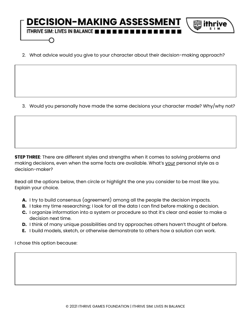## **DECISION-MAKING ASSESSMEN** 躑 ifhı ITHRIVE SIM: LIVES IN BALANCE **the time in 1**

2. What advice would you give to your character about their decision-making approach?

3. Would you personally have made the same decisions your character made? Why/why not?

**STEP THREE**: There are different styles and strengths when it comes to solving problems and making decisions, even when the same facts are available. What's your personal style as a decision-maker?

Read all the options below, then circle or highlight the one you consider to be most like you. Explain your choice.

- **A.** I try to build consensus (agreement) among all the people the decision impacts.
- **B.** I take my time researching; I look for all the data I can find before making a decision.
- **C.** I organize information into a system or procedure so that it's clear and easier to make a decision next time.
- **D.** I think of many unique possibilities and try approaches others haven't thought of before.
- **E.** I build models, sketch, or otherwise demonstrate to others how a solution can work.

I chose this option because: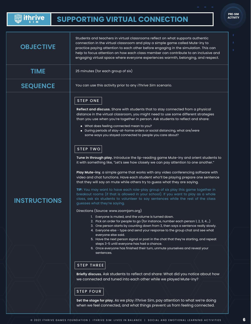## <span id="page-7-0"></span>**Solithrive**

| <b>OBJECTIVE</b>    | Students and teachers in virtual classrooms reflect on what supports authentic<br>connection in the virtual classroom and play a simple game called Mute-iny to<br>practice paying attention to each other before engaging in the simulation. This can<br>help to focus attention on how each class member can contribute to an inclusive and<br>engaging virtual space where everyone experiences warmth, belonging, and respect.                                                                                                                                                                                                                                                                                                                                                            |
|---------------------|-----------------------------------------------------------------------------------------------------------------------------------------------------------------------------------------------------------------------------------------------------------------------------------------------------------------------------------------------------------------------------------------------------------------------------------------------------------------------------------------------------------------------------------------------------------------------------------------------------------------------------------------------------------------------------------------------------------------------------------------------------------------------------------------------|
| <b>TIME</b>         | 25 minutes (for each group of six)                                                                                                                                                                                                                                                                                                                                                                                                                                                                                                                                                                                                                                                                                                                                                            |
| <b>SEQUENCE</b>     | You can use this activity prior to any <i>iThrive Sim</i> scenario.                                                                                                                                                                                                                                                                                                                                                                                                                                                                                                                                                                                                                                                                                                                           |
|                     | <b>STEP ONE</b><br>Reflect and discuss. Share with students that to stay connected from a physical<br>distance in the virtual classroom, you might need to use some different strategies<br>than you use when you're together in person. Ask students to reflect and share:<br>. What does feeling connected mean to you?<br>$\bullet$ During periods of stay-at-home orders or social distancing, what are/were<br>some ways you stayed connected to people you care about?<br><b>STEP TWO</b>                                                                                                                                                                                                                                                                                               |
| <b>INSTRUCTIONS</b> | Tune in through play. Introduce the lip-reading game Mute-iny and orient students to<br>it with something like, "Let's see how closely we can pay attention to one another."<br>Play Mute-iny, a simple game that works with any video conferencing software with<br>video and chat functions. Have each student who'll be playing prepare one sentence<br>that they will say on mute while others try to guess what they are saying.<br>TIP: You may want to have each role-play group of six play this game together in<br>breakout rooms (if that is allowed in your school). If you want to play as a whole<br>class, ask six students to volunteer to say sentences while the rest of the class<br>guesses what they're saying.                                                          |
|                     | Directions (Source: www.zoomjam.org)<br>1. Everyone is muted, and the volume is turned down.<br>2. Pick an order for people to go (for instance, number each person 1, 2, 3, 4)<br>3. One person starts by counting down from 3, then says a sentence really slowly.<br>4. Everyone else - type and send your response to the group chat and see what<br>everyone else said.<br>5. Have the next person signal or post in the chat that they're starting, and repeat<br>steps 3-5 until everyone has had a chance.<br>6. Once everyone has finished their turn, unmute yourselves and reveal your<br>sentences.<br><b>STEP THREE</b><br>Briefly discuss. Ask students to reflect and share: What did you notice about how<br>we connected and tuned into each other while we played Mute-iny? |
|                     | <b>STEP FOUR</b><br>Set the stage for play. As we play <i>iThrive Sim</i> , pay attention to what we're doing<br>when we feel connected, and what things prevent us from feeling connected.                                                                                                                                                                                                                                                                                                                                                                                                                                                                                                                                                                                                   |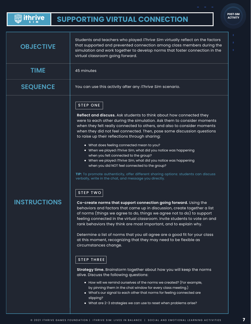#### **Solithrive SUPPORTING VIRTUAL CONNECTION**

| <b>OBJECTIVE</b>    | Students and teachers who played iThrive Sim virtually reflect on the factors<br>that supported and prevented connection among class members during the<br>simulation and work together to develop norms that foster connection in the<br>virtual classroom going forward.                                                                                                                                                                                                                                                                                                                                                                                                                                                                                                                                                                                                                                                                                                                                                                                                                                                                                                                                                                                                                                                                                                                                                                                                                                                                                                                                                                                                                                                                                                                                                      |  |
|---------------------|---------------------------------------------------------------------------------------------------------------------------------------------------------------------------------------------------------------------------------------------------------------------------------------------------------------------------------------------------------------------------------------------------------------------------------------------------------------------------------------------------------------------------------------------------------------------------------------------------------------------------------------------------------------------------------------------------------------------------------------------------------------------------------------------------------------------------------------------------------------------------------------------------------------------------------------------------------------------------------------------------------------------------------------------------------------------------------------------------------------------------------------------------------------------------------------------------------------------------------------------------------------------------------------------------------------------------------------------------------------------------------------------------------------------------------------------------------------------------------------------------------------------------------------------------------------------------------------------------------------------------------------------------------------------------------------------------------------------------------------------------------------------------------------------------------------------------------|--|
| <b>TIME</b>         | 45 minutes                                                                                                                                                                                                                                                                                                                                                                                                                                                                                                                                                                                                                                                                                                                                                                                                                                                                                                                                                                                                                                                                                                                                                                                                                                                                                                                                                                                                                                                                                                                                                                                                                                                                                                                                                                                                                      |  |
| <b>SEQUENCE</b>     | You can use this activity after any <i>iThrive Sim</i> scenario.                                                                                                                                                                                                                                                                                                                                                                                                                                                                                                                                                                                                                                                                                                                                                                                                                                                                                                                                                                                                                                                                                                                                                                                                                                                                                                                                                                                                                                                                                                                                                                                                                                                                                                                                                                |  |
| <b>INSTRUCTIONS</b> | <b>STEP ONE</b><br>Reflect and discuss. Ask students to think about how connected they<br>were to each other during the simulation. Ask them to consider moments<br>when they felt really connected to others, and also to consider moments<br>when they did not feel connected. Then, pose some discussion questions<br>to raise up their reflections through sharing:<br>• What does feeling connected mean to you?<br>• When we played iThrive Sim, what did you notice was happening<br>when you felt connected to the group?<br>• When we played iThrive Sim, what did you notice was happening<br>when you did NOT feel connected to the group?<br>TIP: To promote authenticity, offer different sharing options: students can discuss<br>verbally, write in the chat, and message you directly.<br><b>STEP TWO</b><br>Co-create norms that support connection going forward. Using the<br>behaviors and factors that came up in discussion, create together a list<br>of norms (things we agree to do, things we agree not to do) to support<br>feeling connected in the virtual classroom. Invite students to vote on and<br>rank behaviors they think are most important, and to explain why.<br>Determine a list of norms that you all agree are a good fit for your class<br>at this moment, recognizing that they may need to be flexible as<br>circumstances change.<br><b>STEP THREE</b><br>Strategy time. Brainstorm together about how you will keep the norms<br>alive. Discuss the following questions:<br>• How will we remind ourselves of the norms we created? (For example,<br>by pinning them in the chat window for every class meeting.)<br>• What's our signal to each other that norms for feeling connected are<br>slipping?<br>• What are 2-3 strategies we can use to reset when problems arise? |  |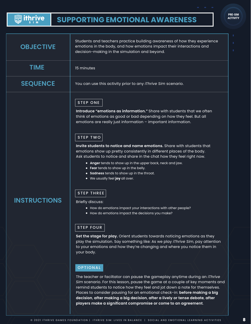## <span id="page-9-0"></span>**Suithrive**

| <b>OBJECTIVE</b>    | Students and teachers practice building awareness of how they experience<br>emotions in the body, and how emotions impact their interactions and<br>decision-making in the simulation and beyond.                                                                                                                                                                                                                                                                                                                                                                                                                                                                                                                                                                                                                                                               |  |
|---------------------|-----------------------------------------------------------------------------------------------------------------------------------------------------------------------------------------------------------------------------------------------------------------------------------------------------------------------------------------------------------------------------------------------------------------------------------------------------------------------------------------------------------------------------------------------------------------------------------------------------------------------------------------------------------------------------------------------------------------------------------------------------------------------------------------------------------------------------------------------------------------|--|
| <b>TIME</b>         | 15 minutes                                                                                                                                                                                                                                                                                                                                                                                                                                                                                                                                                                                                                                                                                                                                                                                                                                                      |  |
| <b>SEQUENCE</b>     | You can use this activity prior to any <i>iThrive Sim</i> scenario.                                                                                                                                                                                                                                                                                                                                                                                                                                                                                                                                                                                                                                                                                                                                                                                             |  |
| <b>INSTRUCTIONS</b> | <b>STEP ONE</b><br>Introduce "emotions as information." Share with students that we often<br>think of emotions as good or bad depending on how they feel. But all<br>emotions are really just information - important information.<br><b>STEP TWO</b><br>Invite students to notice and name emotions. Share with students that<br>emotions show up pretty consistently in different places of the body.<br>Ask students to notice and share in the chat how they feel right now.<br>• Anger tends to show up in the upper back, neck and jaw.<br>• Fear tends to show up in the belly.<br>• Sadness tends to show up in the throat.<br>• We usually feel joy all over.<br><b>STEP THREE</b><br><b>Briefly discuss:</b><br>• How do emotions impact your interactions with other people?<br>• How do emotions impact the decisions you make?<br><b>STEP FOUR</b> |  |
|                     | Set the stage for play. Orient students towards noticing emotions as they<br>play the simulation. Say something like: As we play <i>iThrive Sim</i> , pay attention<br>to your emotions and how they're changing and where you notice them in<br>your body.                                                                                                                                                                                                                                                                                                                                                                                                                                                                                                                                                                                                     |  |
|                     | OPTIONAL<br>The teacher or faciltator can pause the gameplay anytime during an <i>iThrive</i><br>Sim scenario. For this lesson, pause the game at a couple of key moments and<br>remind students to notice how they feel and jot down a note for themselves.<br>Places to consider pausing for an emotional check-in: before making a big<br>decision, after making a big decision, after a lively or tense debate, after                                                                                                                                                                                                                                                                                                                                                                                                                                       |  |

**players make a significant compromise or come to an agreement**.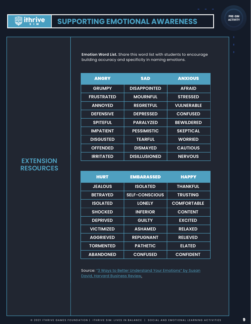**Emotion Word List.** Share this word list with students to encourage building accuracy and specificity in naming emotions.

| <b>ANGRY</b>      | <b>SAD</b>           | <b>ANXIOUS</b>    |
|-------------------|----------------------|-------------------|
| <b>GRUMPY</b>     | <b>DISAPPOINTED</b>  | <b>AFRAID</b>     |
| <b>FRUSTRATED</b> | <b>MOURNFUL</b>      | <b>STRESSED</b>   |
| <b>ANNOYED</b>    | <b>REGRETFUL</b>     | <b>VULNERABLE</b> |
| <b>DEFENSIVE</b>  | <b>DEPRESSED</b>     | <b>CONFUSED</b>   |
| <b>SPITEFUL</b>   | <b>PARALYZED</b>     | <b>BEWILDERED</b> |
| <b>IMPATIENT</b>  | <b>PESSIMISTIC</b>   | <b>SKEPTICAL</b>  |
| <b>DISGUSTED</b>  | <b>TEARFUL</b>       | <b>WORRIED</b>    |
| <b>OFFENDED</b>   | <b>DISMAYED</b>      | <b>CAUTIOUS</b>   |
| <b>IRRITATED</b>  | <b>DISILLUSIONED</b> | <b>NERVOUS</b>    |

## **EXTENSION RESOURCES**

| <b>HURT</b>       | <b>EMBARASSED</b>     | <b>HAPPY</b>       |
|-------------------|-----------------------|--------------------|
| <b>JEALOUS</b>    | <b>ISOLATED</b>       | <b>THANKFUL</b>    |
| <b>BETRAYED</b>   | <b>SELF-CONSCIOUS</b> | <b>TRUSTING</b>    |
| <b>ISOLATED</b>   | <b>LONELY</b>         | <b>COMFORTABLE</b> |
| <b>SHOCKED</b>    | <b>INFERIOR</b>       | <b>CONTENT</b>     |
| <b>DEPRIVED</b>   | <b>GUILTY</b>         | <b>EXCITED</b>     |
| <b>VICTIMIZED</b> | <b>ASHAMED</b>        | <b>RELAXED</b>     |
| <b>AGGRIEVED</b>  | <b>REPUGNANT</b>      | <b>RELIEVED</b>    |
| <b>TORMENTED</b>  | <b>PATHETIC</b>       | <b>ELATED</b>      |
| <b>ABANDONED</b>  | <b>CONFUSED</b>       | <b>CONFIDENT</b>   |

[Source: "3 Ways to Better Understand Your Emotions" by Susan](https://hbr.org/2016/11/3-ways-to-better-understand-your-emotions)  David, Harvard Business Review.